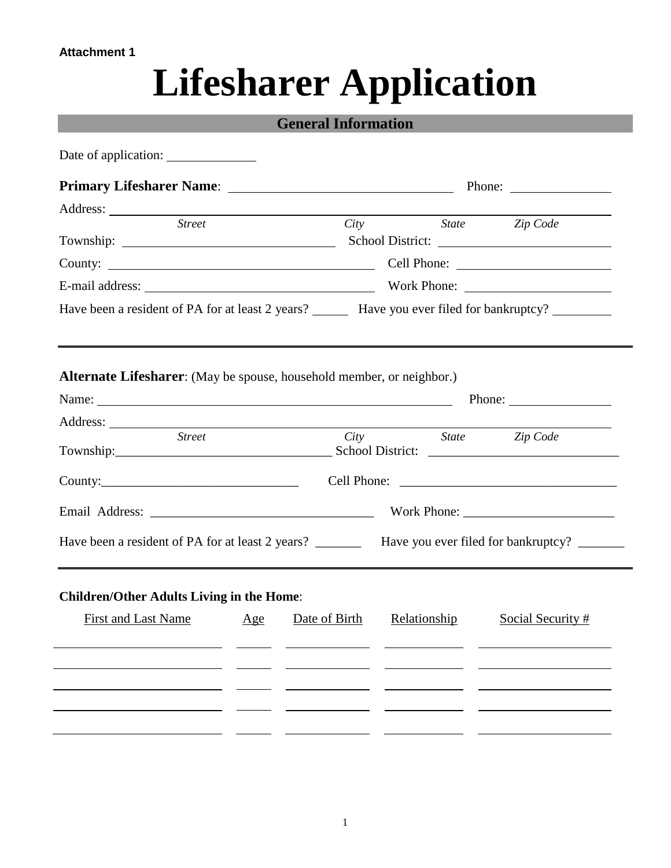# **Lifesharer Application**

|                                                                       | <b>General Information</b>                                                                                |
|-----------------------------------------------------------------------|-----------------------------------------------------------------------------------------------------------|
|                                                                       |                                                                                                           |
|                                                                       | Phone: $\qquad \qquad$                                                                                    |
|                                                                       |                                                                                                           |
| <b>Street</b>                                                         | City State Zip Code                                                                                       |
|                                                                       |                                                                                                           |
|                                                                       | E-mail address: Work Phone:                                                                               |
|                                                                       | Have been a resident of PA for at least 2 years? Have you ever filed for bankruptcy?                      |
|                                                                       |                                                                                                           |
| Alternate Lifesharer: (May be spouse, household member, or neighbor.) |                                                                                                           |
|                                                                       |                                                                                                           |
| Street                                                                | City State Zip Code                                                                                       |
|                                                                       |                                                                                                           |
|                                                                       | County: County: County: County: County: Cell Phone: Cell Phone: County: County:                           |
|                                                                       |                                                                                                           |
|                                                                       | Have been a resident of PA for at least 2 years? ____________ Have you ever filed for bankruptcy? _______ |
|                                                                       |                                                                                                           |
| <b>Children/Other Adults Living in the Home:</b>                      |                                                                                                           |
| <b>First and Last Name</b><br>Age                                     | Relationship<br>Social Security #<br>Date of Birth                                                        |
|                                                                       |                                                                                                           |
|                                                                       |                                                                                                           |
|                                                                       |                                                                                                           |
|                                                                       |                                                                                                           |
|                                                                       |                                                                                                           |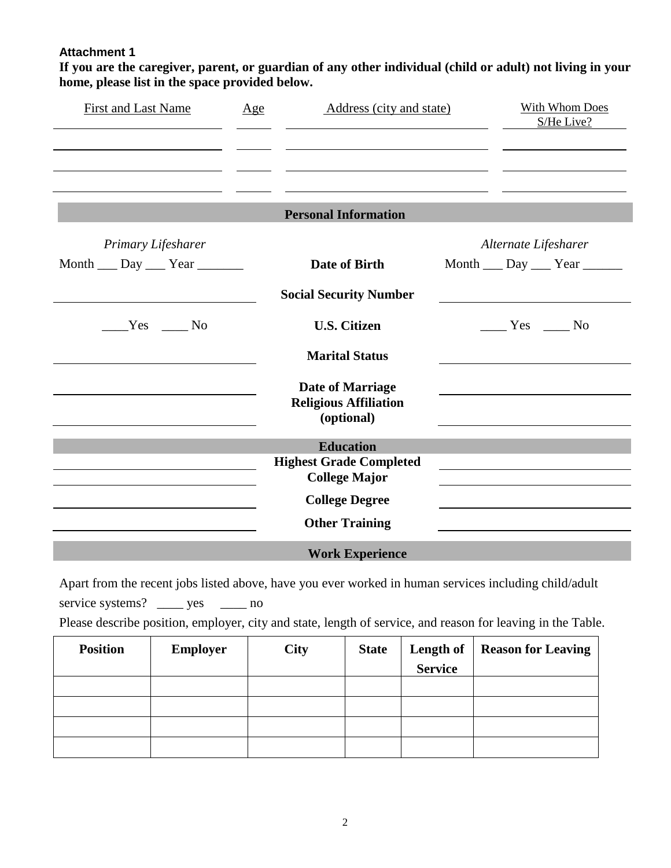**If you are the caregiver, parent, or guardian of any other individual (child or adult) not living in your home, please list in the space provided below.**

| <b>First and Last Name</b>     | Age | Address (city and state)                                              | <b>With Whom Does</b><br>S/He Live? |
|--------------------------------|-----|-----------------------------------------------------------------------|-------------------------------------|
|                                |     | <b>Personal Information</b>                                           |                                     |
| Primary Lifesharer             |     |                                                                       | Alternate Lifesharer                |
| Month ___ Day ___ Year _______ |     | Date of Birth                                                         | Month ___ Day ___ Year ______       |
|                                |     | <b>Social Security Number</b>                                         |                                     |
| $Yes$ No                       |     | <b>U.S. Citizen</b>                                                   | Yes No                              |
|                                |     | <b>Marital Status</b>                                                 |                                     |
|                                |     | <b>Date of Marriage</b><br><b>Religious Affiliation</b><br>(optional) |                                     |
|                                |     | <b>Education</b>                                                      |                                     |
|                                |     | <b>Highest Grade Completed</b><br><b>College Major</b>                |                                     |
|                                |     | <b>College Degree</b>                                                 |                                     |
|                                |     | <b>Other Training</b>                                                 |                                     |
|                                |     | <b>Work Experience</b>                                                |                                     |

Apart from the recent jobs listed above, have you ever worked in human services including child/adult service systems? \_\_\_\_\_ yes \_\_\_\_\_\_ no Please describe position, employer, city and state, length of service, and reason for leaving in the Table.

| <b>Position</b> | <b>Employer</b> | <b>City</b> | <b>State</b> | <b>Length of</b><br><b>Service</b> | <b>Reason for Leaving</b> |
|-----------------|-----------------|-------------|--------------|------------------------------------|---------------------------|
|                 |                 |             |              |                                    |                           |
|                 |                 |             |              |                                    |                           |
|                 |                 |             |              |                                    |                           |
|                 |                 |             |              |                                    |                           |
|                 |                 |             |              |                                    |                           |
|                 |                 |             |              |                                    |                           |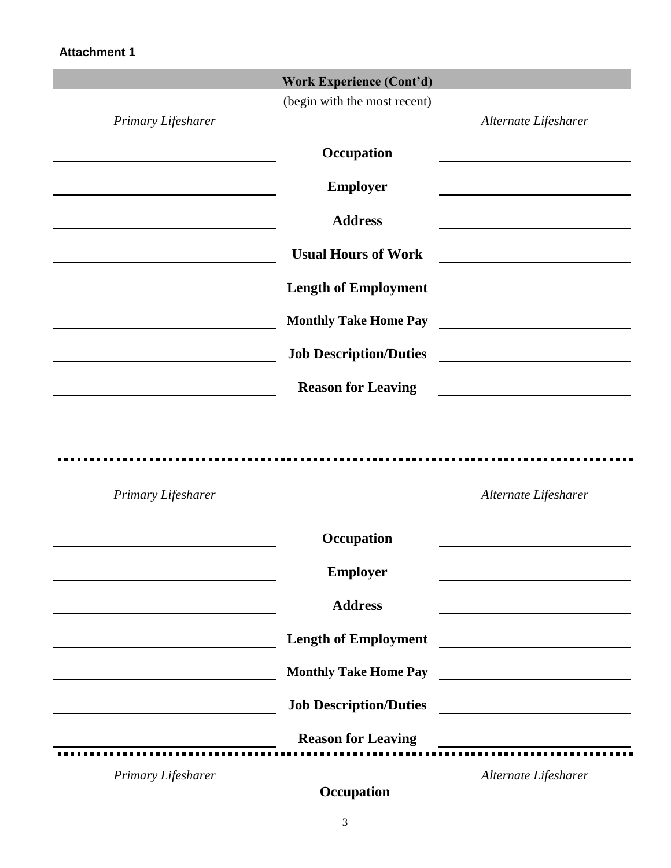|                                                   | <b>Work Experience (Cont'd)</b> |                                                                                                                      |
|---------------------------------------------------|---------------------------------|----------------------------------------------------------------------------------------------------------------------|
| Primary Lifesharer                                | (begin with the most recent)    | Alternate Lifesharer                                                                                                 |
|                                                   |                                 |                                                                                                                      |
|                                                   | Occupation                      |                                                                                                                      |
|                                                   | <b>Employer</b>                 |                                                                                                                      |
|                                                   | <b>Address</b>                  |                                                                                                                      |
| <u> 1989 - Johann Barnett, fransk politiker (</u> | <b>Usual Hours of Work</b>      |                                                                                                                      |
|                                                   | <b>Length of Employment</b>     | <u> 1989 - Jan Stein Stein Stein Stein Stein Stein Stein Stein Stein Stein Stein Stein Stein Stein Stein Stein S</u> |
|                                                   | <b>Monthly Take Home Pay</b>    | <u> 1980 - Johann Barbara, martxa alemaniar a</u>                                                                    |
|                                                   | <b>Job Description/Duties</b>   | <u> 1989 - Andrea Maria Alemania, pre</u>                                                                            |
|                                                   | <b>Reason for Leaving</b>       |                                                                                                                      |
| Primary Lifesharer                                |                                 | Alternate Lifesharer                                                                                                 |
|                                                   | Occupation                      |                                                                                                                      |
|                                                   | <b>Employer</b>                 |                                                                                                                      |
|                                                   | <b>Address</b>                  |                                                                                                                      |
|                                                   | <b>Length of Employment</b>     | <u> El alta de la contenentación de la contenentación de la contenentación de la contenentación de la contenenta</u> |
|                                                   | <b>Monthly Take Home Pay</b>    | <u> Alexandria de la contexta de la contexta de la contexta de la contexta de la contexta de la contexta de la c</u> |
|                                                   | <b>Job Description/Duties</b>   | <u> 1989 - Andrea Stadt Britain, fransk politik (</u>                                                                |
|                                                   | <b>Reason for Leaving</b>       |                                                                                                                      |
| Primary Lifesharer                                |                                 | Alternate Lifesharer                                                                                                 |

**Occupation**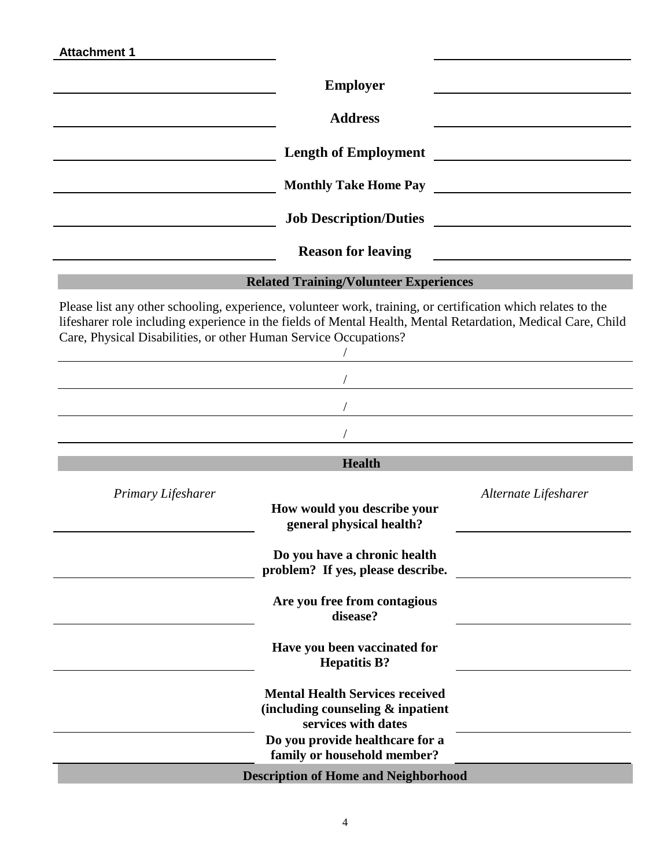| <b>Attachment 1</b>                                              |                                                                                                                                                                                                                              |                                                                                                                      |
|------------------------------------------------------------------|------------------------------------------------------------------------------------------------------------------------------------------------------------------------------------------------------------------------------|----------------------------------------------------------------------------------------------------------------------|
|                                                                  | <b>Employer</b>                                                                                                                                                                                                              |                                                                                                                      |
|                                                                  | <b>Address</b>                                                                                                                                                                                                               |                                                                                                                      |
|                                                                  | <b>Length of Employment</b>                                                                                                                                                                                                  | <u> 1980 - Jan Stein Stein Stein Stein Stein Stein Stein Stein Stein Stein Stein Stein Stein Stein Stein Stein S</u> |
|                                                                  |                                                                                                                                                                                                                              |                                                                                                                      |
|                                                                  |                                                                                                                                                                                                                              | Job Description/Duties                                                                                               |
|                                                                  | <b>Reason for leaving</b>                                                                                                                                                                                                    | <u> 1989 - Johann Barn, mars ann an t-Amhain Aonaich an t-Aonaich an t-Aonaich ann an t-Aonaich ann an t-Aonaich</u> |
|                                                                  | <b>Related Training/Volunteer Experiences</b>                                                                                                                                                                                |                                                                                                                      |
| Care, Physical Disabilities, or other Human Service Occupations? | Please list any other schooling, experience, volunteer work, training, or certification which relates to the<br>lifesharer role including experience in the fields of Mental Health, Mental Retardation, Medical Care, Child |                                                                                                                      |
|                                                                  |                                                                                                                                                                                                                              |                                                                                                                      |
|                                                                  |                                                                                                                                                                                                                              |                                                                                                                      |
|                                                                  | <b>Health</b>                                                                                                                                                                                                                |                                                                                                                      |
| Primary Lifesharer                                               | How would you describe your<br>general physical health?                                                                                                                                                                      | Alternate Lifesharer                                                                                                 |
|                                                                  | Do you have a chronic health<br>problem? If yes, please describe.                                                                                                                                                            |                                                                                                                      |
|                                                                  | Are you free from contagious<br>disease?                                                                                                                                                                                     |                                                                                                                      |
|                                                                  | Have you been vaccinated for<br><b>Hepatitis B?</b>                                                                                                                                                                          |                                                                                                                      |
|                                                                  | <b>Mental Health Services received</b><br>(including counseling $\&$ inpatient<br>services with dates                                                                                                                        |                                                                                                                      |
|                                                                  | Do you provide healthcare for a<br>family or household member?                                                                                                                                                               |                                                                                                                      |
|                                                                  | <b>Description of Home and Neighborhood</b>                                                                                                                                                                                  |                                                                                                                      |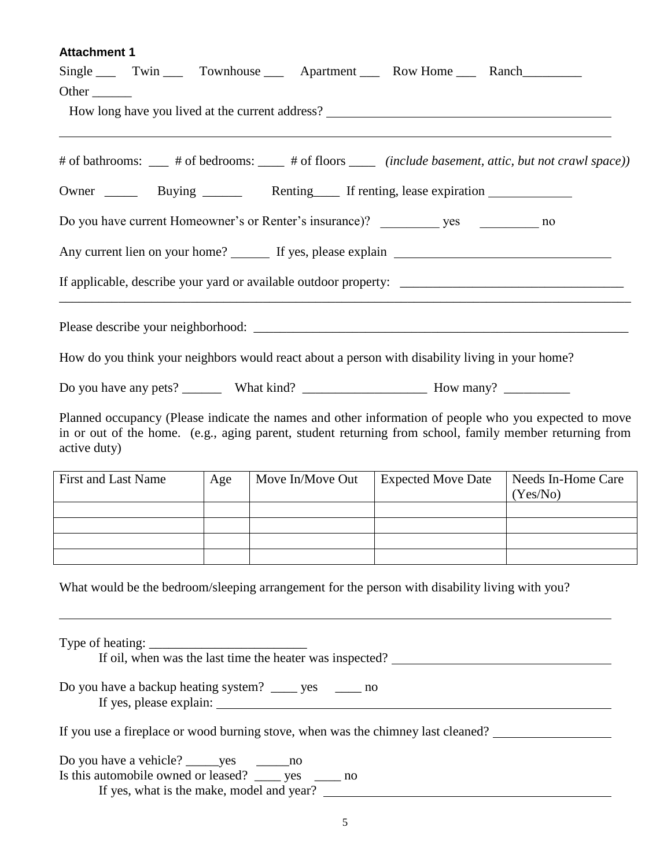| Single Twin Townhouse Apartment Row Home Ranch<br>Other $\_\_$                                                                                                                                                                   |     |                  |                                                                                   |                                |
|----------------------------------------------------------------------------------------------------------------------------------------------------------------------------------------------------------------------------------|-----|------------------|-----------------------------------------------------------------------------------|--------------------------------|
|                                                                                                                                                                                                                                  |     |                  | How long have you lived at the current address? _________________________________ |                                |
| # of bathrooms: ___ # of bedrooms: ___ # of floors ____ (include basement, attic, but not crawl space))                                                                                                                          |     |                  |                                                                                   |                                |
| Owner ________ Buying _________ Renting ________ If renting, lease expiration _____________________                                                                                                                              |     |                  |                                                                                   |                                |
| Do you have current Homeowner's or Renter's insurance)? ___________ yes ____________ no                                                                                                                                          |     |                  |                                                                                   |                                |
|                                                                                                                                                                                                                                  |     |                  |                                                                                   |                                |
|                                                                                                                                                                                                                                  |     |                  |                                                                                   |                                |
|                                                                                                                                                                                                                                  |     |                  |                                                                                   |                                |
| How do you think your neighbors would react about a person with disability living in your home?                                                                                                                                  |     |                  |                                                                                   |                                |
|                                                                                                                                                                                                                                  |     |                  |                                                                                   |                                |
| Planned occupancy (Please indicate the names and other information of people who you expected to move<br>in or out of the home. (e.g., aging parent, student returning from school, family member returning from<br>active duty) |     |                  |                                                                                   |                                |
| First and Last Name                                                                                                                                                                                                              | Age | Move In/Move Out | <b>Expected Move Date</b>                                                         | Needs In-Home Care<br>(Yes/No) |
|                                                                                                                                                                                                                                  |     |                  |                                                                                   |                                |
|                                                                                                                                                                                                                                  |     |                  |                                                                                   |                                |
| What would be the bedroom/sleeping arrangement for the person with disability living with you?                                                                                                                                   |     |                  |                                                                                   |                                |
|                                                                                                                                                                                                                                  |     |                  |                                                                                   |                                |
| Do you have a backup heating system? _______ yes ________ no                                                                                                                                                                     |     |                  |                                                                                   |                                |

If you use a fireplace or wood burning stove, when was the chimney last cleaned?

Do you have a vehicle? \_\_\_\_\_yes \_\_\_\_\_\_\_\_no Is this automobile owned or leased? \_\_\_\_ yes \_\_\_\_ no If yes, what is the make, model and year?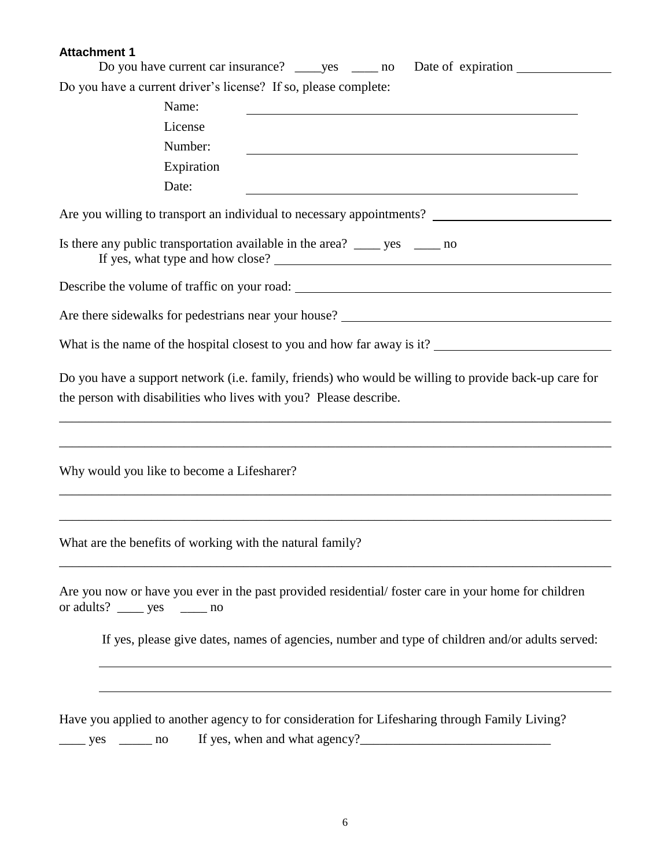| Do you have current car insurance? ______ yes _______ no                                                                                                                                                                                                       |
|----------------------------------------------------------------------------------------------------------------------------------------------------------------------------------------------------------------------------------------------------------------|
| Do you have a current driver's license? If so, please complete:                                                                                                                                                                                                |
| Name:                                                                                                                                                                                                                                                          |
| License                                                                                                                                                                                                                                                        |
| Number:                                                                                                                                                                                                                                                        |
| Expiration                                                                                                                                                                                                                                                     |
| Date:<br><u> 1980 - Johann Stoff, fransk politik (f. 1980)</u>                                                                                                                                                                                                 |
| Are you willing to transport an individual to necessary appointments?                                                                                                                                                                                          |
| Is there any public transportation available in the area? ______ yes ______ no                                                                                                                                                                                 |
|                                                                                                                                                                                                                                                                |
|                                                                                                                                                                                                                                                                |
|                                                                                                                                                                                                                                                                |
| Do you have a support network (i.e. family, friends) who would be willing to provide back-up care for<br>the person with disabilities who lives with you? Please describe.<br>,我们也不会有什么。""我们的人,我们也不会有什么?""我们的人,我们也不会有什么?""我们的人,我们也不会有什么?""我们的人,我们也不会有什么?""我们的人 |
| ,我们也不能在这里的时候,我们也不能在这里的时候,我们也不能会在这里的时候,我们也不能会在这里的时候,我们也不能会在这里的时候,我们也不能会在这里的时候,我们也不<br>Why would you like to become a Lifesharer?                                                                                                                                |
| What are the benefits of working with the natural family?                                                                                                                                                                                                      |
| Are you now or have you ever in the past provided residential/foster care in your home for children<br>or adults? $\_\_\_\$ yes $\_\_\_\$ no                                                                                                                   |
| If yes, please give dates, names of agencies, number and type of children and/or adults served:                                                                                                                                                                |
| Have you applied to another agency to for consideration for Lifesharing through Family Living?<br>$\rule{1em}{0.15mm}$ yes $\rule{1em}{0.15mm}$ no                                                                                                             |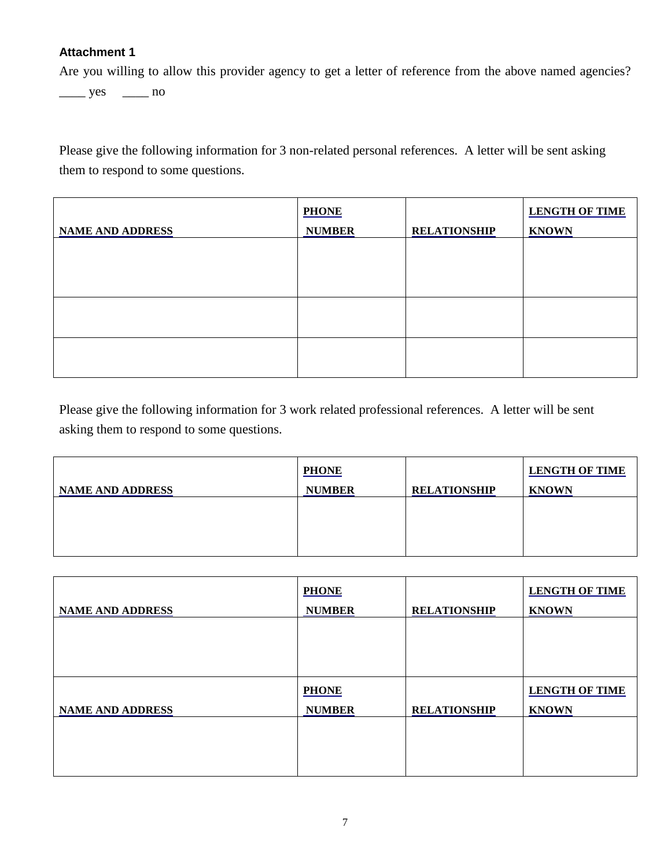Are you willing to allow this provider agency to get a letter of reference from the above named agencies?

 $\frac{\text{yes}}{\text{yes}}$  no

Please give the following information for 3 non-related personal references. A letter will be sent asking them to respond to some questions.

|                         | <b>PHONE</b>  |                     | <b>LENGTH OF TIME</b> |
|-------------------------|---------------|---------------------|-----------------------|
| <b>NAME AND ADDRESS</b> | <b>NUMBER</b> | <b>RELATIONSHIP</b> | <b>KNOWN</b>          |
|                         |               |                     |                       |
|                         |               |                     |                       |
|                         |               |                     |                       |
|                         |               |                     |                       |
|                         |               |                     |                       |

Please give the following information for 3 work related professional references. A letter will be sent asking them to respond to some questions.

| <b>NAME AND ADDRESS</b> | <b>PHONE</b><br><b>NUMBER</b> | <b>RELATIONSHIP</b> | <b>LENGTH OF TIME</b><br><b>KNOWN</b> |
|-------------------------|-------------------------------|---------------------|---------------------------------------|
|                         |                               |                     |                                       |
|                         |                               |                     |                                       |

|                         | <b>PHONE</b>  |                     | <b>LENGTH OF TIME</b> |
|-------------------------|---------------|---------------------|-----------------------|
| <b>NAME AND ADDRESS</b> | <b>NUMBER</b> | <b>RELATIONSHIP</b> | <b>KNOWN</b>          |
|                         |               |                     |                       |
|                         |               |                     |                       |
|                         |               |                     |                       |
|                         |               |                     |                       |
|                         | <b>PHONE</b>  |                     | <b>LENGTH OF TIME</b> |
| <b>NAME AND ADDRESS</b> | <b>NUMBER</b> | <b>RELATIONSHIP</b> | <b>KNOWN</b>          |
|                         |               |                     |                       |
|                         |               |                     |                       |
|                         |               |                     |                       |
|                         |               |                     |                       |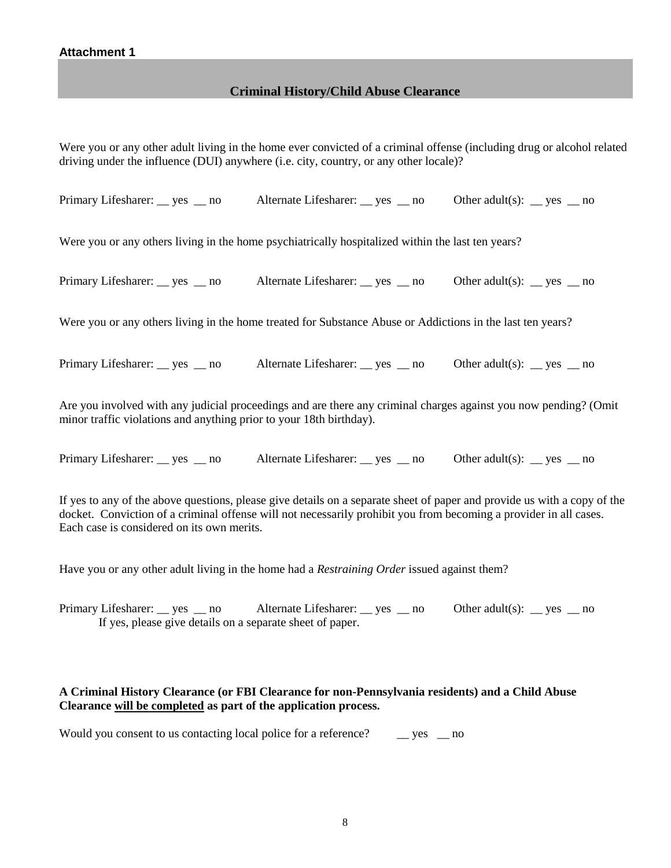#### **Criminal History/Child Abuse Clearance**

Were you or any other adult living in the home ever convicted of a criminal offense (including drug or alcohol related driving under the influence (DUI) anywhere (i.e. city, country, or any other locale)?

Primary Lifesharer: <u>\_\_</u> yes \_\_ no Alternate Lifesharer: \_\_ yes \_\_ no Other adult(s): \_\_ yes \_\_ no

Were you or any others living in the home psychiatrically hospitalized within the last ten years?

Primary Lifesharer: <u>\_\_</u> yes \_\_ no Alternate Lifesharer: \_\_ yes \_\_ no Other adult(s): \_\_ yes \_\_ no

Were you or any others living in the home treated for Substance Abuse or Addictions in the last ten years?

Primary Lifesharer: \_\_ yes \_\_ no Alternate Lifesharer: \_\_ yes \_\_ no Other adult(s): \_\_ yes \_\_ no

Are you involved with any judicial proceedings and are there any criminal charges against you now pending? (Omit minor traffic violations and anything prior to your 18th birthday).

Primary Lifesharer: <u>\_\_</u> yes \_\_ no Alternate Lifesharer: \_\_ yes \_\_ no Other adult(s): \_\_ yes \_\_ no

If yes to any of the above questions, please give details on a separate sheet of paper and provide us with a copy of the docket. Conviction of a criminal offense will not necessarily prohibit you from becoming a provider in all cases. Each case is considered on its own merits.

Have you or any other adult living in the home had a *Restraining Order* issued against them?

Primary Lifesharer: \_\_ yes \_\_ no Alternate Lifesharer: \_\_ yes \_\_ no Other adult(s): \_\_ yes \_\_ no If yes, please give details on a separate sheet of paper.

#### **A Criminal History Clearance (or FBI Clearance for non-Pennsylvania residents) and a Child Abuse Clearance will be completed as part of the application process.**

Would you consent to us contacting local police for a reference? \_\_\_\_\_ yes \_\_\_ no